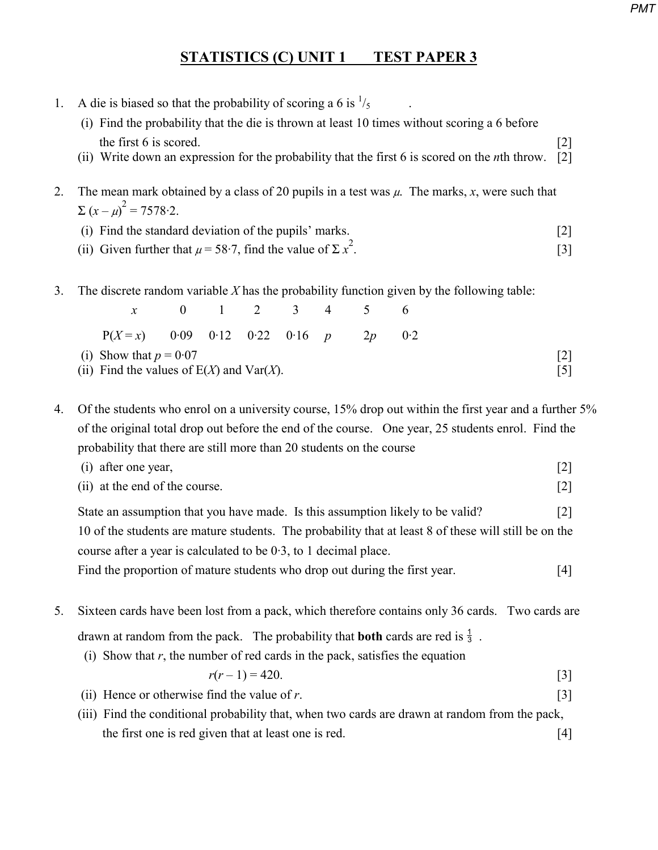## **STATISTICS (C) UNIT 1 TEST PAPER 3**

- 1. A die is biased so that the probability of scoring a 6 is  $\frac{1}{5}$ .
	- (i) Find the probability that the die is thrown at least 10 times without scoring a 6 before the first 6 is scored.  $[2]$
	- (ii) Write down an expression for the probability that the first 6 is scored on the *n*th throw. [2]
- 2. The mean mark obtained by a class of 20 pupils in a test was  $\mu$ . The marks, *x*, were such that  $\sum (x - \mu)^2 = 7578.2$ .
	- (i) Find the standard deviation of the pupils' marks. [2]
- (ii) Given further that  $\mu$  = 58.7, find the value of  $\Sigma x^2$ .  $\begin{bmatrix} 3 \end{bmatrix}$
- 3. The discrete random variable *X* has the probability function given by the following table:

|                                               |                          |  | $0 \t 1 \t 2 \t 3 \t 4$ |  |  | $\sim$ 5 |     |  |  |
|-----------------------------------------------|--------------------------|--|-------------------------|--|--|----------|-----|--|--|
| $P(X=x)$ 0.09 0.12 0.22 0.16 p                |                          |  |                         |  |  | 2p       | 0.2 |  |  |
|                                               | (i) Show that $p = 0.07$ |  |                         |  |  |          |     |  |  |
| (ii) Find the values of $E(X)$ and $Var(X)$ . |                          |  |                         |  |  |          |     |  |  |

4. Of the students who enrol on a university course, 15% drop out within the first year and a further 5% of the original total drop out before the end of the course. One year, 25 students enrol. Find the probability that there are still more than 20 students on the course

| (i) after one year, |  |
|---------------------|--|
|---------------------|--|

| (ii) at the end of the course. |  |  |
|--------------------------------|--|--|
|                                |  |  |

State an assumption that you have made. Is this assumption likely to be valid? [2] 10 of the students are mature students. The probability that at least 8 of these will still be on the course after a year is calculated to be 0·3, to 1 decimal place.

Find the proportion of mature students who drop out during the first year. [4]

- 5. Sixteen cards have been lost from a pack, which therefore contains only 36 cards. Two cards are drawn at random from the pack. The probability that **both** cards are red is  $\frac{1}{3}$ .
	- (i) Show that  $r$ , the number of red cards in the pack, satisfies the equation

$$
r(r-1) = 420.
$$
 [3]

- (ii) Hence or otherwise find the value of  $r$ .  $[3]$
- (iii) Find the conditional probability that, when two cards are drawn at random from the pack, the first one is red given that at least one is red. [4]

*PMT*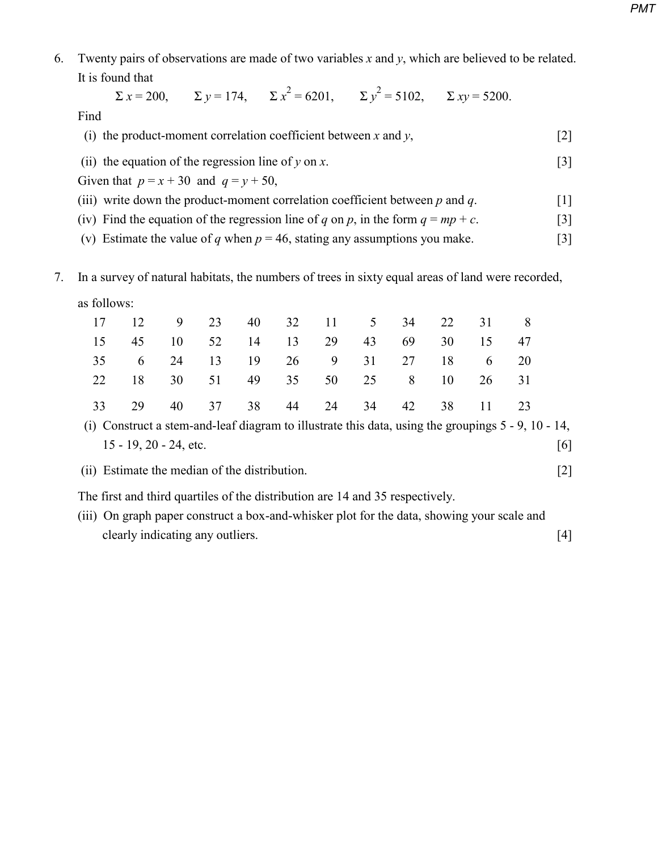6. Twenty pairs of observations are made of two variables *x* and *y*, which are believed to be related. It is found that  $\overline{2}$ 

$$
\Sigma x = 200
$$
,  $\Sigma y = 174$ ,  $\Sigma x^2 = 6201$ ,  $\Sigma y^2 = 5102$ ,  $\Sigma xy = 5200$ .  
Find

| (i) the product-moment correlation coefficient between x and y, | $\lceil 2 \rceil$ |
|-----------------------------------------------------------------|-------------------|
| (ii) the equation of the regression line of y on x.             |                   |

- Given that  $p = x + 30$  and  $q = y + 50$ ,
- (iii) write down the product-moment correlation coefficient between *p* and *q*. [1]
- (iv) Find the equation of the regression line of *q* on *p*, in the form  $q = mp + c$ . [3]
- (v) Estimate the value of *q* when  $p = 46$ , stating any assumptions you make. [3]
- 7. In a survey of natural habitats, the numbers of trees in sixty equal areas of land were recorded,

as follows:

|     | $\overline{12}$ |    | 9 23     |    |       |       | 40 32 11 5       | 34 |      | 22 31 8 |                                                                                                   |  |
|-----|-----------------|----|----------|----|-------|-------|------------------|----|------|---------|---------------------------------------------------------------------------------------------------|--|
| 15  | 45              | 10 | 52       |    | 14 13 | 29    | 43               | 69 | 30 · | 15      | - 47                                                                                              |  |
|     | 35 6            | 24 |          |    |       |       | 13 19 26 9 31 27 |    | 18 — |         | 6 20                                                                                              |  |
| 22. | -18             | 30 | 51 49 35 |    |       |       | 50 25            | 8  | 10   | 26 31   |                                                                                                   |  |
| 33. | 29              | 40 | 37       | 38 |       | 44 24 | 34               | 42 | 38   | 11 23   |                                                                                                   |  |
|     |                 |    |          |    |       |       |                  |    |      |         | (i) Construct a stem-and-leaf diagram to illustrate this data using the groupings $5 - 9$ 10 - 14 |  |

 (i) Construct a stem-and-leaf diagram to illustrate this data, using the groupings 5 - 9, 10 - 14, 15 - 19, 20 - 24, etc. [6]

(ii) Estimate the median of the distribution. [2]

The first and third quartiles of the distribution are 14 and 35 respectively.

 (iii) On graph paper construct a box-and-whisker plot for the data, showing your scale and clearly indicating any outliers. [4]